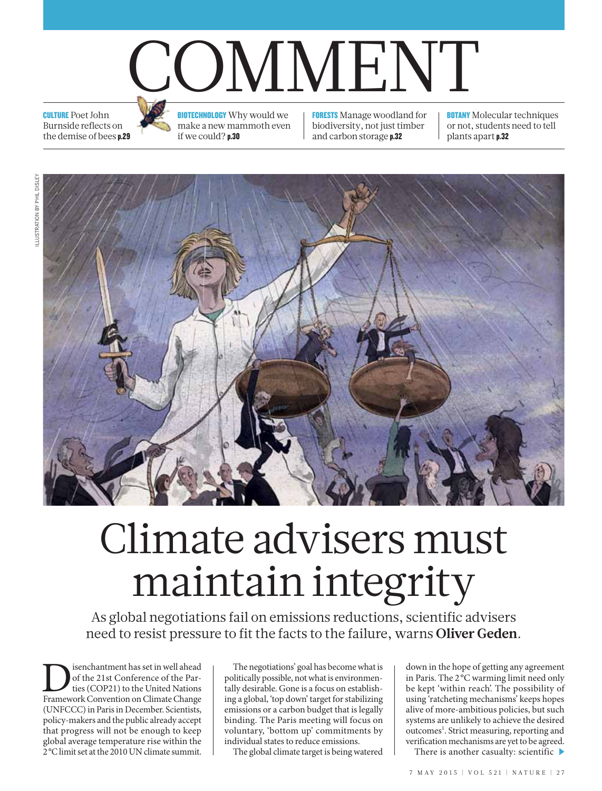# COMMENT

**CULTURE Poet John** Burnside reflects on the demise of bees p.29



**BIOTECHNOLOGY** Why would we make a new mammoth even if we could? p.30

**FORESTS** Manage woodland for biodiversity, not just timber and carbon storage p.32

**BOTANY** Molecular techniques or not, students need to tell plants apart p.32



## Climate advisers must maintain integrity

As global negotiations fail on emissions reductions, scientific advisers need to resist pressure to fit the facts to the failure, warns **Oliver Geden**.

Disenchantment has set in well ahead Framework Convention on Climate Change of the 21st Conference of the Parties (COP21) to the United Nations (UNFCCC) in Paris in December. Scientists, policy-makers and the public already accept that progress will not be enough to keep global average temperature rise within the 2°C limit set at the 2010 UN climate summit.

The negotiations' goal has become what is politically possible, not what is environmentally desirable. Gone is a focus on establishing a global, 'top down' target for stabilizing emissions or a carbon budget that is legally binding. The Paris meeting will focus on voluntary, 'bottom up' commitments by individual states to reduce emissions.

The global climate target is being watered

down in the hope of getting any agreement in Paris. The 2°C warming limit need only be kept 'within reach'. The possibility of using 'ratcheting mechanisms' keeps hopes alive of more-ambitious policies, but such systems are unlikely to achieve the desired outcomes<sup>1</sup>. Strict measuring, reporting and verification mechanisms are yet to be agreed.

There is another casualty: scientific  $\blacktriangleright$